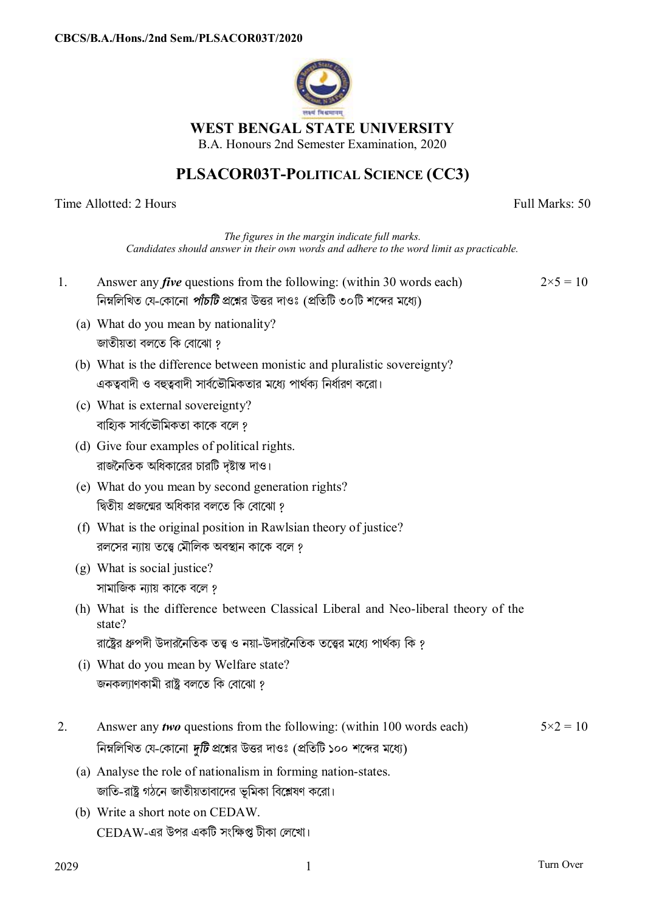

# **WEST BENGAL STATE UNIVERSITY**

B.A. Honours 2nd Semester Examination, 2020

# **PLSACOR03T-POLITICAL SCIENCE (CC3)**

Time Allotted: 2 Hours Full Marks: 50

*The figures in the margin indicate full marks. Candidates should answer in their own words and adhere to the word limit as practicable.*

- 1. Answer any *five* questions from the following: (within 30 words each) নিম্নলিখিত যে-কোনো *পাঁচটি* প্রশ্নের উত্তর দাওঃ (প্রতিটি ৩০টি শব্দের মধ্যে)  $2 \times 5 = 10$ 
	- (a) What do you mean by nationality? জাতীয়তা বলতে কি বােঝাে ?
	- (b) What is the difference between monistic and pluralistic sovereignty? একত্ববাদী ও বহুত্ববাদী সার্বভৌমিকতার মধ্যে পার্থক্য নির্ধারণ করো।
	- (c) What is external sovereignty? বাহ্যিক সার্বভৌমিকতা কাকে বলে ?
	- (d) Give four examples of political rights. রাজনৈতিক অধিকারের চারটি দৃষ্টান্ত দাও।
	- (e) What do you mean by second generation rights? দ্বিতীয় প্রজন্মের অধিকার বলতে কি বােঝাে ?
	- (f) What is the original position in Rawlsian theory of justice? রলসের ন্যায় তত্ত্বে মৌলিক অবস্থান কাকে বলে <u>?</u>
	- (g) What is social justice? সামাজিক ন্যায় কাকে বলে ?
	- (h) What is the difference between Classical Liberal and Neo-liberal theory of the state?

রাষ্ট্রের ধ্রুপদী উদারনৈতিক তত্ত্ব ও নয়া-উদারনৈতিক তত্ত্বের মধ্যে পার্থকা কি *?* 

- (i) What do you mean by Welfare state? জনকল্যাণকামী রাষ্ট্র বলতে কি বােঝাে ?
- 2. Answer any *two* questions from the following: (within 100 words each) নিম্নলিখিত যে-কোনো *দুটি* প্রশ্নের উত্তর দাওঃ (প্রতিটি ১০০ শব্দের মধ্যে)  $5 \times 2 = 10$ 
	- (a) Analyse the role of nationalism in forming nation-states. জাতি-রাষ্ট্র গঠনে জাতীয়তাবাদের ভূমিকা বিশ্লেষণ করো।
	- (b) Write a short note on CEDAW.  $\mathop{\rm CEDAW-}$ এর উপর একটি সংক্ষিপ্ত টীকা লেখো।